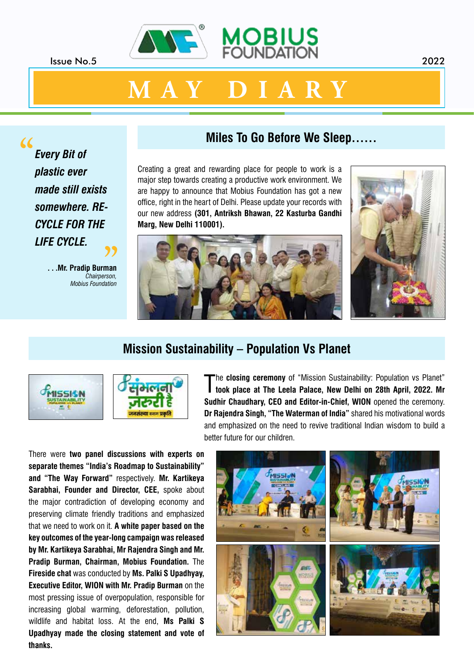



*Every Bit of plastic ever made still exists somewhere. RE-CYCLE FOR THE LIFE CYCLE.* "

> **. . .Mr. Pradip Burman** *Chairperson,* **Pradip Burman**<br>Chairperson,<br>Mobius Foundation

#### **Miles To Go Before We Sleep……**

Creating a great and rewarding place for people to work is a major step towards creating a productive work environment. We are happy to announce that Mobius Foundation has got a new office, right in the heart of Delhi. Please update your records with our new address **(301, Antriksh Bhawan, 22 Kasturba Gandhi Marg, New Delhi 110001).**





#### **Mission Sustainability – Population Vs Planet**





The closing ceremony of "Mission Sustainability: Population vs Planet"<br> **The closing ceremony of "Mission Sustainability: Population vs Planet"** he **closing ceremony** of "Mission Sustainability: Population vs Planet" **Sudhir Chaudhary, CEO and Editor-in-Chief, WION** opened the ceremony. **Dr Rajendra Singh, "The Waterman of India"** shared his motivational words and emphasized on the need to revive traditional Indian wisdom to build a better future for our children.

There were **two panel discussions with experts on separate themes "India's Roadmap to Sustainability" and "The Way Forward"** respectively. **Mr. Kartikeya Sarabhai, Founder and Director, CEE, spoke about** the major contradiction of developing economy and preserving climate friendly traditions and emphasized that we need to work on it. **A white paper based on the key outcomes of the year-long campaign was released by Mr. Kartikeya Sarabhai, Mr Rajendra Singh and Mr. Pradip Burman, Chairman, Mobius Foundation.** The **Fireside chat** was conducted by **Ms. Palki S Upadhyay, Executive Editor, WION with Mr. Pradip Burman** on the most pressing issue of overpopulation, responsible for increasing global warming, deforestation, pollution, wildlife and habitat loss. At the end, **Ms Palki S Upadhyay made the closing statement and vote of thanks.**